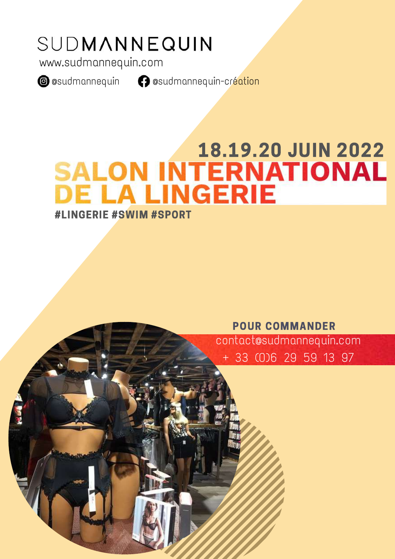# SUDMANNEQUIN

www.sudmannequin.com

**@** @sudmannequin **@** @sudmannequin-création

# 18.19.20 JUIN 2022<br>SALON INTERNATIONAL<br>DE LA LINGERIE #LINGERIE #SWIM #SPORT

POUR COMMANDER

contact@sudmannequin.com + 33 (0)6 29 59 13 97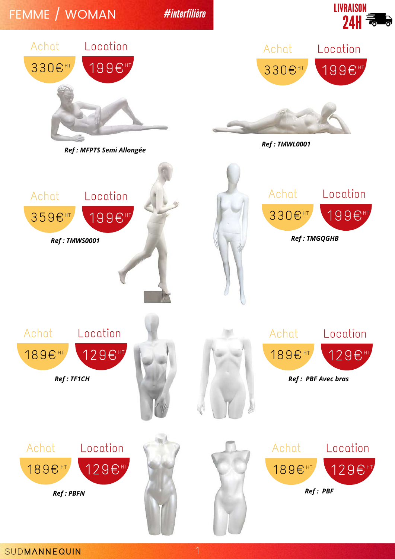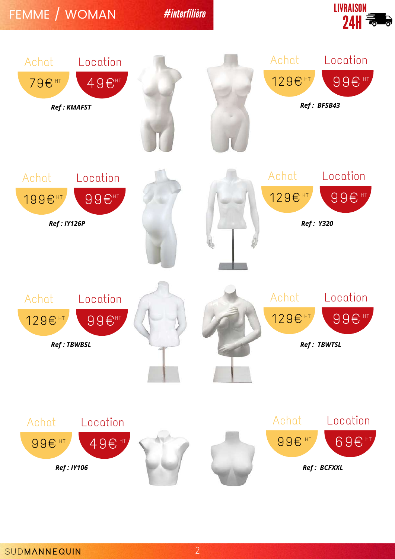#### FEMME / WOMAN



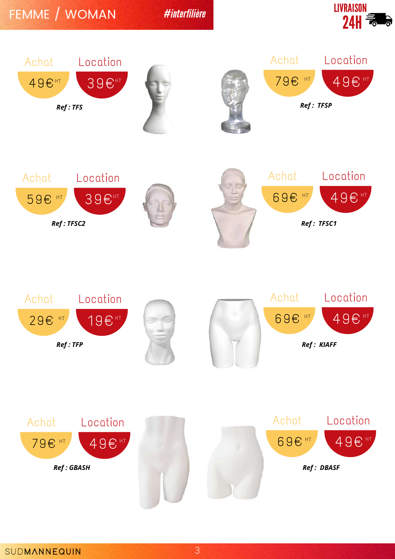FEMME / WOMAN







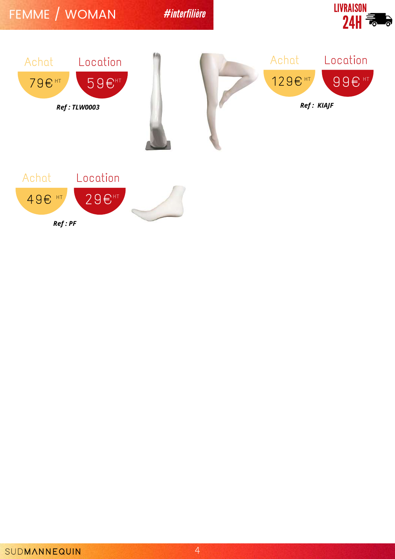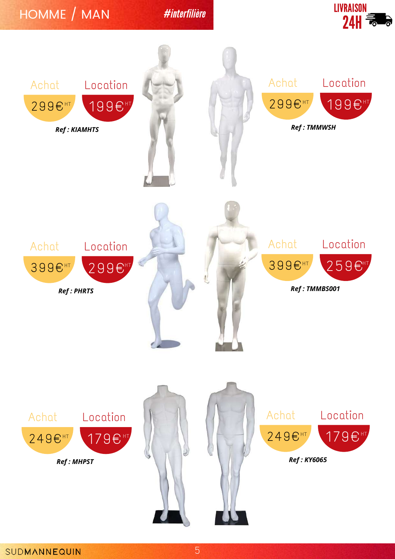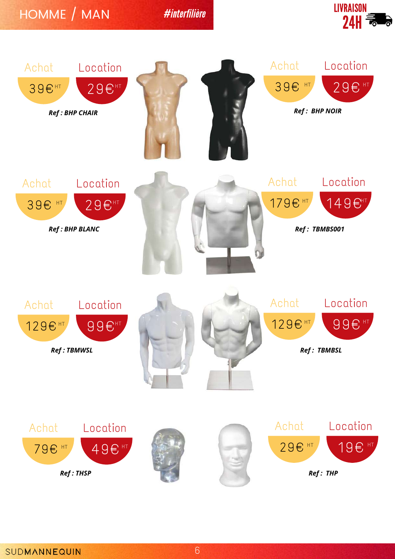### HOMME / MAN



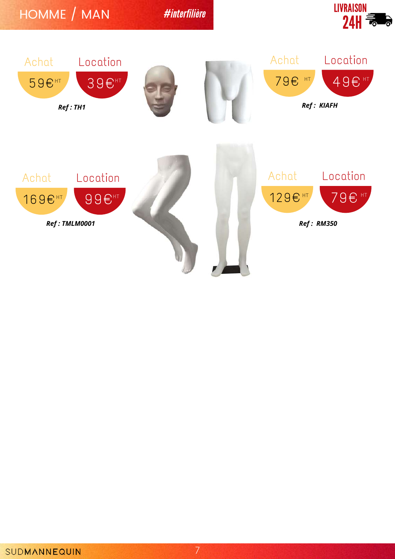

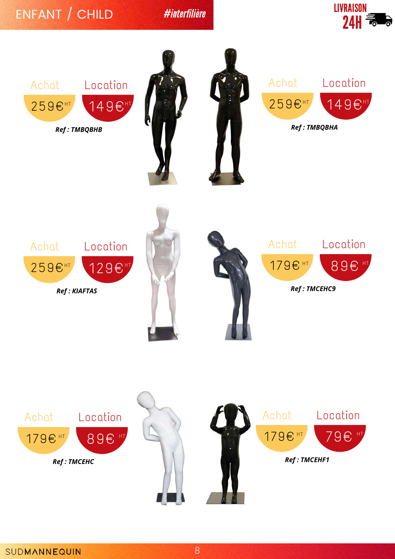# ENFANT / CHILD





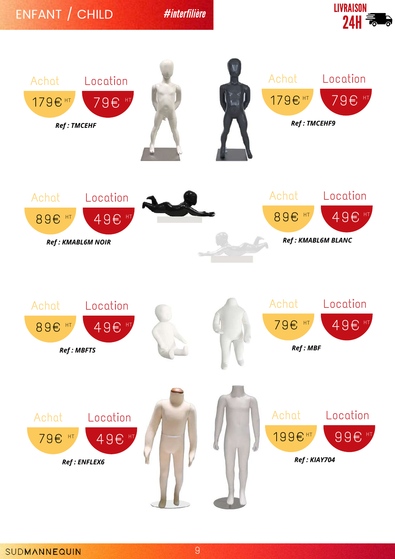# ENFANT / CHILD



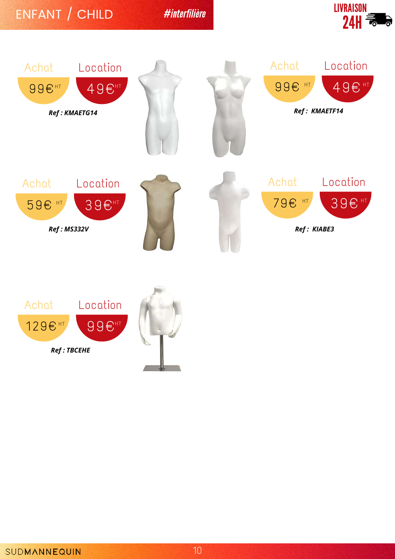## ENFANT / CHILD